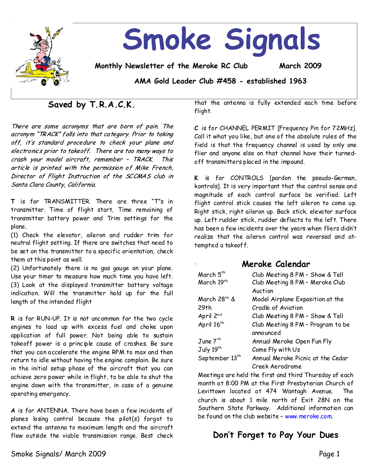

# **Saved by T.R.A.C.K.**

There are some acronyms that are born of pain. The acronym "TRACK" falls into that category. Prior to taking off, it's standard procedure to check your plane and electronics prior to takeoff. There are too many ways to crash your model aircraft, remember - TRACK. This article is printed with the permission of Mike French, Director of Flight Instruction of the SCCMAS club in Santa Clara County, California.

**T** is for TRANSMITTER. There are three "T"s in transmitter. Time of flight start, Time remaining of transmitter battery power and Trim settings for the plane.

(1) Check the elevator, aileron and rudder trim for neutral flight setting. If there are switches that need to be set on the transmitter to a specific orientation, check them at this point as well.

(2) Unfortunately there is no gas gauge on your plane. Use your timer to measure how much time you have left. (3) Look at the displayed transmitter battery voltage indication. Will the transmitter hold up for the full length of the intended flight

**R**is for RUN-UP. It is not uncommon for the two cycle engines to load up with excess fuel and choke upon application of full power. Not being able to sustain takeoff power is a principle cause of crashes. Be sure that you can accelerate the engine RPM to max and then return to idle without having the engine complain. Be sure in the initial setup phase of the aircraft that you can achieve zero power while in flight, to be able toshut the engine down with the transmitter, in case of a genuine operating emergency.

**A**is for ANTENNA.There have been a few incidents of planes losing control because the pilot(s) forgot to extend the antenna to maximum length and the aircraft flew outside the viable transmission range. Best check

that the antenna is fully extended each time before flight.

C is for CHANNEL PERMIT [Frequency Pin for 72MHz]. Call it what you like, but one of the absolute rules of the field is that the frequency channel is used by only one flier and anyone else on that channel have their turned off transmitters placed in the impound.

**K** is for CONTROLS [pardon the pseudo-German, kontrols]. It is very important that the control sense and magnitude of each control surface be verified. Left flight control stick causes the left aileron to come up. Right stick, right aileron up. Back stick, elevator surface up. Leftrudder stick, rudder deflects to the left.There has been a few incidents over the years when fliers didn't realize that the aileron control was reversed and at tempted a takeoff.

**Meroke Calendar** March  $5^{th}$  Club Meeting 8 PM - Show & Tell March 19<sup>th</sup> Club Meeting 8 PM - Meroke Club Auction March 28<sup>th</sup> & 29th Model Airplane Exposition at the Cradle of Aviation April 2<sup>nd</sup> Club Meeting 8 PM - Show & Tell April  $16<sup>th</sup>$  Club Meeting 8 PM – Program to be announced June 7<sup>th</sup> Annual Meroke Open Fun Fly July  $19^{\text{th}}$  Come Fly with Us September  $13<sup>th</sup>$  Annual Meroke Picnic at the Cedar Creek Aerodrome .

Meetings are held the first and third Thursday of each monthat 8:00 PM at the First Presbyterian Church of Levittown located at 474 Wantagh Avenue. The church is about 1 mile north of Exit 28N on the Southern State Parkway. Additional information can be found on the club website–www.meroke.com.

# **Don't Forget to Pay Your Dues**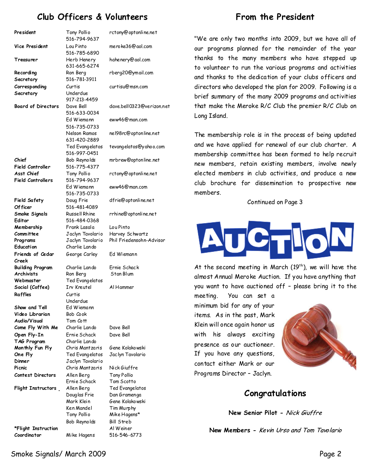# **Club Officers & Volunteers**

#### **President** Tony Pollio 516-794-9637 rctony@optonline.net **Vice President** Lou Pinto 516-785-6890 meroke36@aol.com **Treasurer** Herb Henery 631-665-6274 hahenery@aol.com **Recording Secretary** Ron Berg 516-781-3911 rberg20@ymail.com **Corresponding Secretary** Curtis Underdue 917-213-4459 curtisu@msn.com **Board of Directors** Dave Bell 516-633-0034 dave.bell0323@verizon.net Ed Wiemann 516-735-0733 eww46@man.com Nelson Ramos 631-420-2889 nel98rc@optonline.net Ted Evangelatos 516-997-0451 tevangelatos@yahoo.com **Chief Field Controller** Bob Reynolds 516-775-4377 mrbrew@optonline.net **Asst Chief Field Controllers** Tony Pollio 516-794-9637 Ed Wiemann 516-735-0733 rctony@optonline.net eww46@man.com **Field Safety Of ficer** Doug Frie 516-481-4089 dfrie@optonline.net **Smoke Signals Editor** Russell Rhine 516-484-0368 rrhine@optonline.net **Membership Committee** Frank Lasala Jaclyn Tavolario Lou Pinto Harvey Schwartz **Programs** Jaclyn Tavolario Phil Friedensohn-Advisor **Education** Charlie Lando **Friends of Cedar Creek** George Carley Ed Wiemann **Building Program** Charlie Lando Ernie Schack **Archivists** Ron Berg Stan Blum **Webmaster** Ted Evangelatos **Social (Coffee)** Irv Kreutel Al Hammer **Raffles** Curtis Underdue **Show and Tell**  Ed Wiemann **Video Librarian** Bob Cook **Audio/Visual**  Tom Cott **Come Fly With Me** Charlie Lando Dave Bell **Open Fly-In** Ernie Schack Dave Bell **TAG Program** Charlie Lando **Monthly Fun Fly** Chris Mantzaris Gene Kolakowski **One Fly** Ted Evangelatos Jaclyn Tavolario **Dinner** Jaclyn Tavolario **Picnic** Chris Mantzaris Nick Giuffre **Contest Directors** Allen Berg Tony Pollio Ernie Schack Tom Scotto **Flight Instructors** Allen Berg Ted Evangelatos Douglas Frie Dan Gramenga Mark Klein Gene Kolakowski Ken Mandel Tim Murphy Tony Pollio Mike Hagens\* Bob Reynolds Bill Streb **\*Flight Instruction** Al Weiner **Coordinator** Mike Hagens 516-546-6773

# **From the President**

"We are only two months into 2009, but we have all of our programs planned for the remainder of the year thanks to the many members who have stepped up to volunteer to run the various programs and activities and thanks to the dedication of your clubs officers and directors who developed the plan for 2009. Following is a brief summary of the many 2009 programs and activities that make the Meroke R/C Club the premier R/C Club on Long Island.

The membership role is in the process of being updated and we have applied for renewal of our club charter. A membership committee has been formed to help recruit new members, retain existing members, involve newly elected members in club activities, and produce a new club brochure for dissemination to prospective new members.

#### Continued on Page 3



At the second meeting in March  $(19<sup>th</sup>)$ , we will have the almost Annual Meroke Auction. If you have anything that you want to have auctioned off - please bring it to the

meeting. You can set a minimum bid for any of your items. As in the past, Mark Klein will once again honor us with his always exciting presence as our auctioneer. If you have any questions, contact either Mark or our Programs Director–Jaclyn.



### **Congratulations**

New Senior Pilot - Nick Giuffre

**New Members-**

### Smoke Signals/ March 2009 Page 2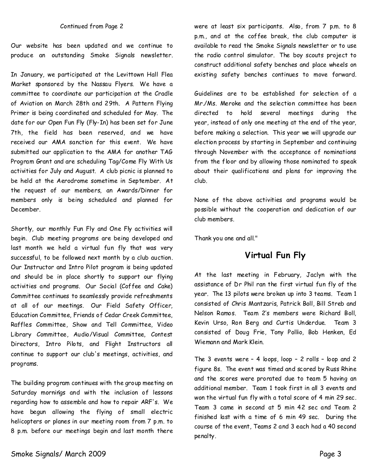#### Continued from Page 2

Our website has been updated and we continue to produce an outstanding Smoke Signals newsletter.

In January, we participated at the Levittown Hall Flea Market sponsored by the Nassau Flyers. We have a committee to coordinate our participation at the Cradle of Aviation on March 28th and 29th. A Pattern Flying Primer is being coordinated and scheduled for May. The date for our Open Fun Fly(Fly-In) has been set for June 7th, the field has been reserved, and we have received our AMA sanction for this event. We have submitted our application to the AMA for another TAG Program Grant and are scheduling Tag/Come Fly With Us activities for July and August. A club picnic is planned to be held at the Aerodrome sometime in September. At the request of our members, an Awards/Dinner for members only is being scheduled and planned for December.

Shortly, our monthly Fun Fly and One Fly activities will begin. Club meeting programs are being developed and last month we held a virtual fun fly that was very successful, to be followed next month by a club auction. Our Instructor and Intro Pilot program is being updated and should be in place shortly to support our flying activities and programs. Our Social(Coffee and Cake) Committee continues to seamlessly provide refreshments at all of our meetings. Our Field Safety Officer, Education Committee, Friendsof Cedar Creek Committee, Raffles Committee, Show and Tell Committee, Video Library Committee, Audio/Visual Committee, Contest Directors, Intro Pilots, and Flight Instructors all continue to support our club's meetings, activities, and programs.

The building program continues with the group meeting on Saturday mornings and with the inclusion of lessons regarding how to assemble and how to repair ARF's. We have begun allowing the flying of small electric helicopters or planes in our meeting room from 7 p.m. to 8 p.m. before our meetings begin and last month there were at least six participants. Also, from 7 p.m. to 8 p.m., and at the coffee break, the club computer is available to read the Smoke Signals newsletter or to use the radio control simulator. The boy scouts project to construct additional safety benches and place wheels on existing safety benches continues to move forward.

Guidelines are to be established for selection of a Mr./Ms. Meroke and the selection committee has been directed to hold several meetings during the year, instead of only one meeting at the end of the year, before making aselection.This year we will upgrade our election process by starting in September and continuing through November with the acceptance of nominations from the floor and by allowing those nominated to speak about their qualifications and plans for improving the club.

None of the above activities and programs would be possible without the cooperation and dedication of our club members.

Thank you one and all."

# **Virtual Fun Fly**

At the last meeting in February, Jaclyn with the assistance of Dr Phil ran the first virtual fun fly of the year. The 13 pilots were broken up into 3 teams. Team 1 consisted of Chris Mantzaris, Patrick Boll, Bill Streb and Nelson Ramos. Team 2's members were Richard Boll, Kevin Urso, Ron Berg and Curtis Underdue. Team 3 consisted of Doug Frie, Tony Pollio, Bob Henken, Ed Wiemann and Mark Klein.

The 3 events were - 4 loops, loop - 2 rolls - loop and 2 figure 8s. The event was timed and scored by Russ Rhine and the scores were prorated due to team 5 having an additional member. Team 1 took first in all 3 events and won the virtual fun fly with a total score of 4 min 29 sec. Team 3 came in second at 5 min 42 sec and Team 2 finished last with a time of 6 min 49 sec. During the course of the event, Teams 2 and 3 each had a 40 second penalty.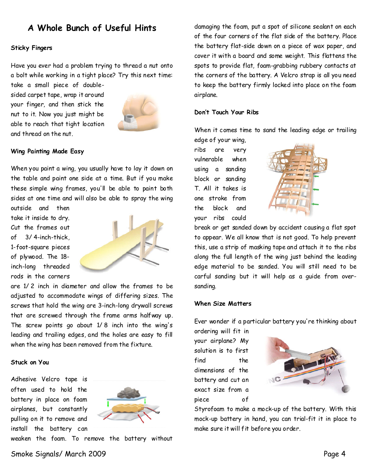# **A Whole Bunch of Useful Hints**

#### **Sticky Fingers**

Have you ever had a problem trying to thread a nut onto a bolt while working in a tight place? Try this next time: take a small piece of double-

sided carpet tape, wrap it around your finger, and then stick the nut to it. Now you just might be able to reach that tight location and thread on the nut.



#### **Wing Painting Made Easy**

When you paint a wing, you usually have to lay it down on the table and paint one side at a time. But if you make these simple wing frames, you'll be able to paint both sides at one time and will also be able to spray the wing

outside and then take it inside to dry. Cut the frames out of 3/ 4-inch-thick, 1-foot-square pieces of plywood. The 18 inch-long threaded rods in the corners



are 1/ 2 inch in diameter and allow the frames to be adjusted to accommodate wings of differing sizes. The screws that hold the wing are 3-inch-long drywall screws that are screwed through the frame arms halfway up. The screw points go about 1/ 8 inch into the wing's leading and trailing edges, and the holes are easy to fill when the wing has been removed from the fixture.

#### **Stuck on You**

Adhesive Velcro tape is often used to hold the battery in place on foam airplanes, but constantly pulling on it to remove and install the battery can



weaken the foam. To remove the battery without

damaging the foam, put a spot of silicone sealant on each of the four corners of the flat side of the battery. Place the battery flat-side down on a piece of wax paper, and cover it with a board and some weight. This flattens the spots to provide flat, foam-grabbing rubbery contacts at the corners of the battery. A Velcro strap is all you need to keep the battery firmly locked into place on the foam airplane.

#### **Don't Touch Your Ribs**

When it comes time to sand the leading edge or trailing

edge of your wing, ribs are very vulnerable when using a sanding block or sanding T. All it takes is one stroke from the block and your ribs could



break or get sanded down by accident causing a flat spot to appear. We all know that is not good. To help prevent this, use a strip of masking tape and attach it to the ribs along the full length of the wing just behind the leading edge material to be sanded. You will still need to be carful sanding but it will help as a guide from over sanding.

#### **When Size Matters**

Ever wonder if a particular battery you're thinking about

ordering will fit in your airplane? My solution is to first find the dimensions of the battery and cut an exact size from a piece of



Styrofoam to make a mock-up of the battery. With this mock-up battery in hand, you can trial-fit it in place to make sure it will fit before you order.

Smoke Signals/ March 2009 Page 4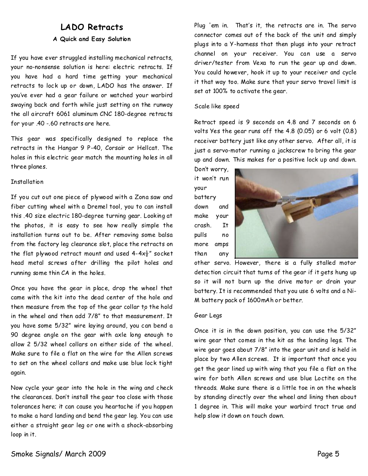### LADO Retracts

### **A Quick and Easy Solution**

If you have ever struggled installing mechanical retracts, your no-nonsense solution is here: electric retracts. If you have had a hard time getting your mechanical retracts to lock up or down, LADO has the answer. If you've ever had a gear failure or watched your warbird swaying back and forth while just setting on the runway the all aircraft 6061 aluminum CNC 180-degree retracts for your .40-.60 retracts are here.

This gear was specifically designed to replace the retracts in the Hangar 9 P-40, Corsair or Hellcat. The holes in this electric gear match the mounting holes in all three planes.

#### **Installation**

If you cut out one piece of plywood with a Zona saw and fiber cutting wheel with a Dremel tool, you to can install this .40 size electric 180-degree turning gear. Looking at the photos, it is easy to see how really simple the installation turns out to be. After removing some balsa from the factory leg clearance slot, place the retracts on the flat plywood retract mount and used  $4-4x\frac{1}{2}$ " socket head metal screws after drilling the pilot holes and running some thin CA in the holes.

Once you have the gear in place, drop the wheel that came with the kit into the dead center of the hole and then measure from the top of the gear collar to the hold in the wheel and then add 7/8" to that measurement. It you have some 5/32" wire laying around, you can bend a 90 degree angle on the gear with axle long enough to allow 2 5/32 wheel collars on either side of the wheel. Make sure to file a flat on the wire for the Allen screws to set on the wheel collars and make use blue lock tight again.

Now cycle your gear into the hole in the wing and check the clearances.Don't install the gear too close with those tolerances here; it can cause you heartache if you happen to make a hard landing and bend the gear leg.You canuse either a straight gear leg or one with a shock-absorbing loop in it.

Plug 'em in. That's it, the retracts are in. The servo connector comes out of the back of the unit and simply plugs into a Y-harness that then plugs into your retract channel on your receiver. You can use a servo driver/tester from Vexa to run the gear up and down. You could however, hook it up to your receiver and cycle it that way too. Make sure that your servo travel limit is set at 100% to activate the gear.

### Scale like speed

Retract speed is 9 seconds on 4.8 and 7 seconds on 6 volts Yes the gear runs off the 4.8 (0.05) or 6 volt (0.8) receiver battery just like any other servo. After all, it is just a servo-motor running a jackscrew to bring the gear up and down. This makes for a positive lock up and down.

Don't worry, it won't run your battery down and make your crash. It pulls no more amps than any



other servo. However, there is a fully stalled motor detection circuit that turns of the gear if it gets hung up so it will not burn up the drive motor or drain your battery. It is recommended that you use 6 volts and a Ni-M battery pack of 1600mAh or better.

### Gear Legs

Once it is in the down position, you can use the 5/32" wire gear that comes in the kit as the landing legs. The wire gear goes about 7/8" into the gear unit and is held in place by two Allen screws. It is important that once you get the gear lined up with wing that you file a flat on the wire for both Allen screws and use blue Loctite on the threads. Make sure there is a little toe in on the wheels by standing directly over the wheel and lining then about 1 degree in. This will make your warbird tract true and help slow it down on touch down.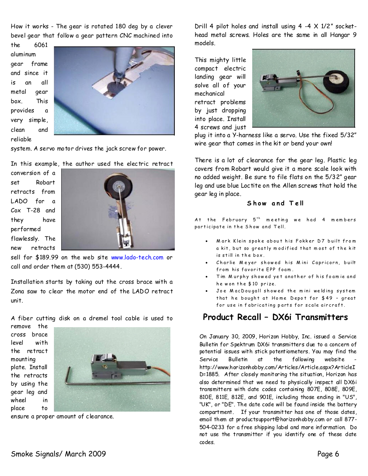How it works-The gear is rotated 180 deg by a clever bevel gear that follow a gear pattern CNC machined into

the 6061 aluminum gear frame and since it is an all metal gear box. This provides a very simple, clean and reliable



system. A servo motor drives the jack screw for power.

In this example, the author used the electric retract

conversion of a set Robart retracts from LADO for a Cox T-28 and they have performed flawlessly. The new retracts



sell for \$189.99 on the web site www.lado-tech.com or call and order them at (530) 553-4444.

Installation starts by taking out the cross brace with a Zona saw to clear the motor end of the LADO retract unit.

A fiber cutting disk on a dremel tool cable is used to

remove the cross brace level with the retract mounting plate. Install the retracts by using the gear leg and wheel in place to



ensure a proper amount of clearance.

Drill 4 pilot holes and install using  $4 -4 \times 1/2$ " sockethead metal screws. Holes are the same in all Hangar 9 models.

This mighty little compact electric landing gear will solve all of your mechanical retract problems by just dropping into place. Install 4 screws and just



plug it into a Y-harness like a servo. Use the fixed 5/32" wire gear that comes in the kit or bend your own!

There is a lot of clearance for the gear leg. Plastic leg covers from Robart would give it a more scale look with no added weight.Be sure to file flats on the 5/32" gear leg and use blue Loctite on the Allen screws that hold the gear leg in place.

#### Show and Tell

At the February  $5^{th}$  meeting we had 4 members participate in the Show and Tell.

- Mark Klein spoke about his Fokker D7 built from a kit, but so greatly modified that most of the kit is still in the box.
- Charlie Meyer showed his Mini Capricorn, built from his favorite EPP foam.
- Tim Murphy showed yet another of his foamie and he won the \$10 prize.
- Joe MacDougall showed the mini welding system that he bought at Home Depot for  $$49$  - great for use in fabricating parts for scale aircraft.

### **Product Recall–DX6i Transmitters**

On January 30, 2009, Horizon Hobby, Inc. issued a Service Bulletin for Spektrum DX6i transmitters due to a concern of potential issues with stick potentiometers.You may find the Service Bulletin at the following website http://www.horizonhobby.com/Articles/Article.aspx?ArticleI D=1885. After closely monitoring the situation, Horizon has also determined that we need to physically inspect all DX6i transmitters with date codes containing 807E, 808E, 809E, 810E, 811E, 812E, and 901E, including those ending in "US", "UK", or "DE". The date code will be found inside the battery compartment. If your transmitter has one of those dates, email them at productsupport@horizonhobby.com or call 877-504-0233 for a free shipping label and more information. Do not use the transmitter if you identify one of these date codes.